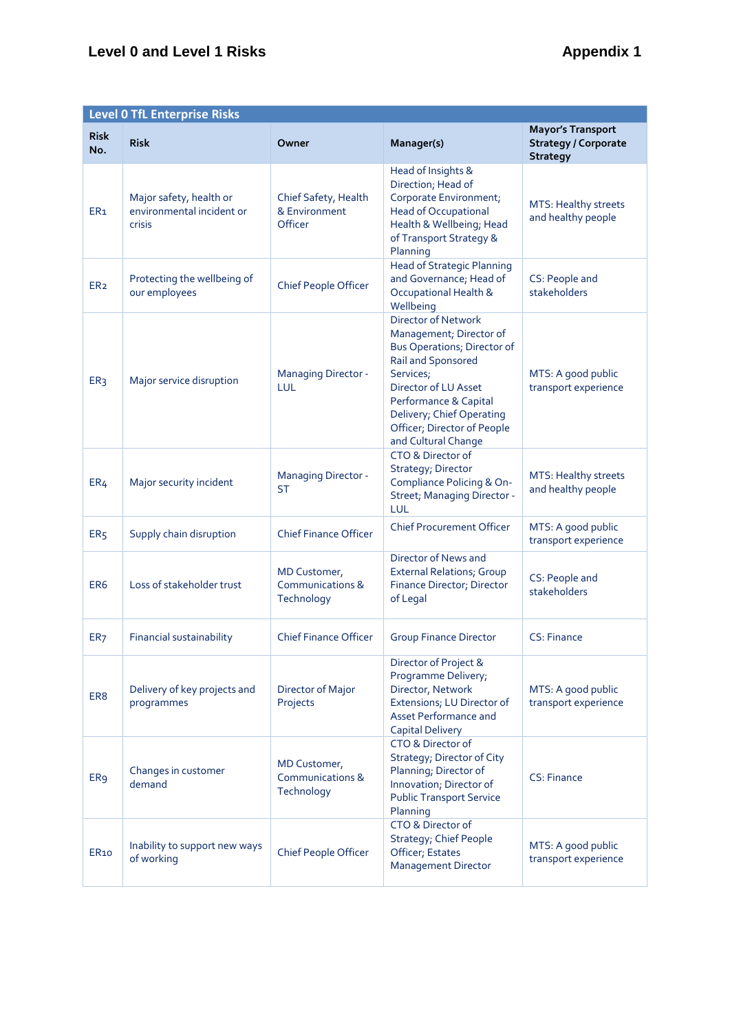# **Level 0 and Level 1 Risks Appendix 1**

|                    | <b>Level 0 TfL Enterprise Risks</b>                            |                                                  |                                                                                                                                                                                                                                                      |                                                                            |  |
|--------------------|----------------------------------------------------------------|--------------------------------------------------|------------------------------------------------------------------------------------------------------------------------------------------------------------------------------------------------------------------------------------------------------|----------------------------------------------------------------------------|--|
| <b>Risk</b><br>No. | <b>Risk</b>                                                    | Owner                                            | Manager(s)                                                                                                                                                                                                                                           | <b>Mayor's Transport</b><br><b>Strategy / Corporate</b><br><b>Strategy</b> |  |
| ER <sub>1</sub>    | Major safety, health or<br>environmental incident or<br>crisis | Chief Safety, Health<br>& Environment<br>Officer | Head of Insights &<br>Direction; Head of<br>Corporate Environment;<br><b>Head of Occupational</b><br>Health & Wellbeing; Head<br>of Transport Strategy &<br>Planning                                                                                 | MTS: Healthy streets<br>and healthy people                                 |  |
| ER <sub>2</sub>    | Protecting the wellbeing of<br>our employees                   | Chief People Officer                             | <b>Head of Strategic Planning</b><br>and Governance; Head of<br>Occupational Health &<br>Wellbeing                                                                                                                                                   | CS: People and<br>stakeholders                                             |  |
| ER <sub>3</sub>    | Major service disruption                                       | <b>Managing Director -</b><br>LUL                | Director of Network<br>Management; Director of<br>Bus Operations; Director of<br>Rail and Sponsored<br>Services;<br>Director of LU Asset<br>Performance & Capital<br>Delivery; Chief Operating<br>Officer; Director of People<br>and Cultural Change | MTS: A good public<br>transport experience                                 |  |
| ER <sub>4</sub>    | Major security incident                                        | <b>Managing Director -</b><br><b>ST</b>          | CTO & Director of<br>Strategy; Director<br>Compliance Policing & On-<br>Street; Managing Director -<br>LUL                                                                                                                                           | MTS: Healthy streets<br>and healthy people                                 |  |
| ER <sub>5</sub>    | Supply chain disruption                                        | <b>Chief Finance Officer</b>                     | <b>Chief Procurement Officer</b>                                                                                                                                                                                                                     | MTS: A good public<br>transport experience                                 |  |
| ER <sub>6</sub>    | Loss of stakeholder trust                                      | MD Customer,<br>Communications &<br>Technology   | Director of News and<br><b>External Relations; Group</b><br>Finance Director; Director<br>of Legal                                                                                                                                                   | CS: People and<br>stakeholders                                             |  |
| ER <sub>7</sub>    | Financial sustainability                                       | <b>Chief Finance Officer</b>                     | <b>Group Finance Director</b>                                                                                                                                                                                                                        | CS: Finance                                                                |  |
| ER8                | Delivery of key projects and<br>programmes                     | Director of Major<br>Projects                    | Director of Project &<br>Programme Delivery;<br>Director, Network<br>Extensions; LU Director of<br>Asset Performance and<br><b>Capital Delivery</b>                                                                                                  | MTS: A good public<br>transport experience                                 |  |
| ER <sub>9</sub>    | Changes in customer<br>demand                                  | MD Customer,<br>Communications &<br>Technology   | CTO & Director of<br>Strategy; Director of City<br>Planning; Director of<br>Innovation; Director of<br><b>Public Transport Service</b><br>Planning                                                                                                   | CS: Finance                                                                |  |
| <b>ER10</b>        | Inability to support new ways<br>of working                    | Chief People Officer                             | CTO & Director of<br><b>Strategy; Chief People</b><br>Officer; Estates<br><b>Management Director</b>                                                                                                                                                 | MTS: A good public<br>transport experience                                 |  |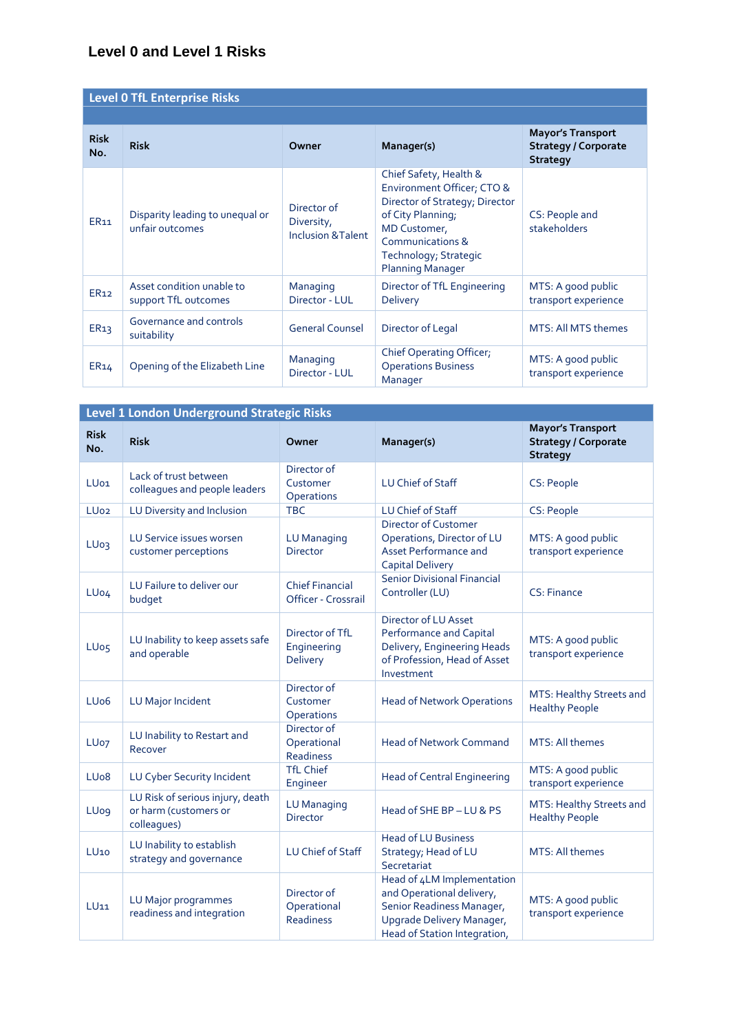### **Level 0 and Level 1 Risks**

| <b>Level 0 TfL Enterprise Risks</b>                                   |                                                    |                                                                                                                                                                                                                                                                   |                                                                   |                                                                            |  |  |
|-----------------------------------------------------------------------|----------------------------------------------------|-------------------------------------------------------------------------------------------------------------------------------------------------------------------------------------------------------------------------------------------------------------------|-------------------------------------------------------------------|----------------------------------------------------------------------------|--|--|
|                                                                       |                                                    |                                                                                                                                                                                                                                                                   |                                                                   |                                                                            |  |  |
| <b>Risk</b><br>No.                                                    | <b>Risk</b>                                        | Owner                                                                                                                                                                                                                                                             | Manager(s)                                                        | <b>Mayor's Transport</b><br><b>Strategy / Corporate</b><br><b>Strategy</b> |  |  |
| <b>ER11</b>                                                           | Disparity leading to unequal or<br>unfair outcomes | Chief Safety, Health &<br>Environment Officer; CTO &<br>Director of Strategy; Director<br>Director of<br>of City Planning;<br>Diversity,<br>MD Customer,<br><b>Inclusion &amp; Talent</b><br>Communications &<br>Technology; Strategic<br><b>Planning Manager</b> |                                                                   | CS: People and<br>stakeholders                                             |  |  |
| Asset condition unable to<br>ER <sub>12</sub><br>support TfL outcomes |                                                    | Managing<br>Director - LUL                                                                                                                                                                                                                                        | Director of TfL Engineering<br><b>Delivery</b>                    | MTS: A good public<br>transport experience                                 |  |  |
| ER <sub>13</sub>                                                      | Governance and controls<br>suitability             | <b>General Counsel</b>                                                                                                                                                                                                                                            | Director of Legal                                                 | MTS: All MTS themes                                                        |  |  |
| ER <sub>14</sub>                                                      | Opening of the Elizabeth Line                      | Managing<br>Director - LUL                                                                                                                                                                                                                                        | Chief Operating Officer,<br><b>Operations Business</b><br>Manager | MTS: A good public<br>transport experience                                 |  |  |

|                                                                      | Level 1 London Underground Strategic Risks                               |                                                |                                                                                                                                                   |                                                                            |  |
|----------------------------------------------------------------------|--------------------------------------------------------------------------|------------------------------------------------|---------------------------------------------------------------------------------------------------------------------------------------------------|----------------------------------------------------------------------------|--|
| <b>Risk</b><br>No.                                                   | <b>Risk</b>                                                              | Owner                                          | Manager(s)                                                                                                                                        | <b>Mayor's Transport</b><br><b>Strategy / Corporate</b><br><b>Strategy</b> |  |
| LU <sub>01</sub>                                                     | Lack of trust between<br>colleagues and people leaders                   | Director of<br>Customer<br>Operations          | LU Chief of Staff                                                                                                                                 | CS: People                                                                 |  |
| LU <sub>02</sub>                                                     | LU Diversity and Inclusion                                               | <b>TBC</b>                                     | LU Chief of Staff                                                                                                                                 | CS: People                                                                 |  |
| LU <sub>03</sub>                                                     | LU Service issues worsen<br>customer perceptions                         | <b>LU Managing</b><br><b>Director</b>          | <b>Director of Customer</b><br>Operations, Director of LU<br>Asset Performance and<br><b>Capital Delivery</b>                                     | MTS: A good public<br>transport experience                                 |  |
| LU <sub>04</sub>                                                     | LU Failure to deliver our<br>budget                                      | <b>Chief Financial</b><br>Officer - Crossrail  | <b>Senior Divisional Financial</b><br>Controller (LU)                                                                                             | CS: Finance                                                                |  |
| LU Inability to keep assets safe<br>LU <sub>05</sub><br>and operable |                                                                          | Director of TfL<br>Engineering<br>Delivery     | Director of LU Asset<br><b>Performance and Capital</b><br>Delivery, Engineering Heads<br>of Profession, Head of Asset<br>Investment               | MTS: A good public<br>transport experience                                 |  |
| LU <sub>06</sub>                                                     | LU Major Incident                                                        | Director of<br>Customer<br>Operations          | <b>Head of Network Operations</b>                                                                                                                 | MTS: Healthy Streets and<br><b>Healthy People</b>                          |  |
| LU <sub>07</sub>                                                     | LU Inability to Restart and<br>Recover                                   | Director of<br>Operational<br><b>Readiness</b> | <b>Head of Network Command</b>                                                                                                                    | MTS: All themes                                                            |  |
| LU <sub>0</sub> 8                                                    | LU Cyber Security Incident                                               | <b>TfL Chief</b><br>Engineer                   | <b>Head of Central Engineering</b>                                                                                                                | MTS: A good public<br>transport experience                                 |  |
| <b>LUog</b>                                                          | LU Risk of serious injury, death<br>or harm (customers or<br>colleagues) | <b>LU Managing</b><br><b>Director</b>          | Head of SHE BP-LU & PS                                                                                                                            | MTS: Healthy Streets and<br><b>Healthy People</b>                          |  |
| LU <sub>10</sub>                                                     | LU Inability to establish<br>strategy and governance                     | LU Chief of Staff                              | <b>Head of LU Business</b><br>Strategy; Head of LU<br>Secretariat                                                                                 | MTS: All themes                                                            |  |
| $LU$ 11                                                              | LU Major programmes<br>readiness and integration                         | Director of<br>Operational<br>Readiness        | Head of 4LM Implementation<br>and Operational delivery,<br>Senior Readiness Manager,<br>Upgrade Delivery Manager,<br>Head of Station Integration, | MTS: A good public<br>transport experience                                 |  |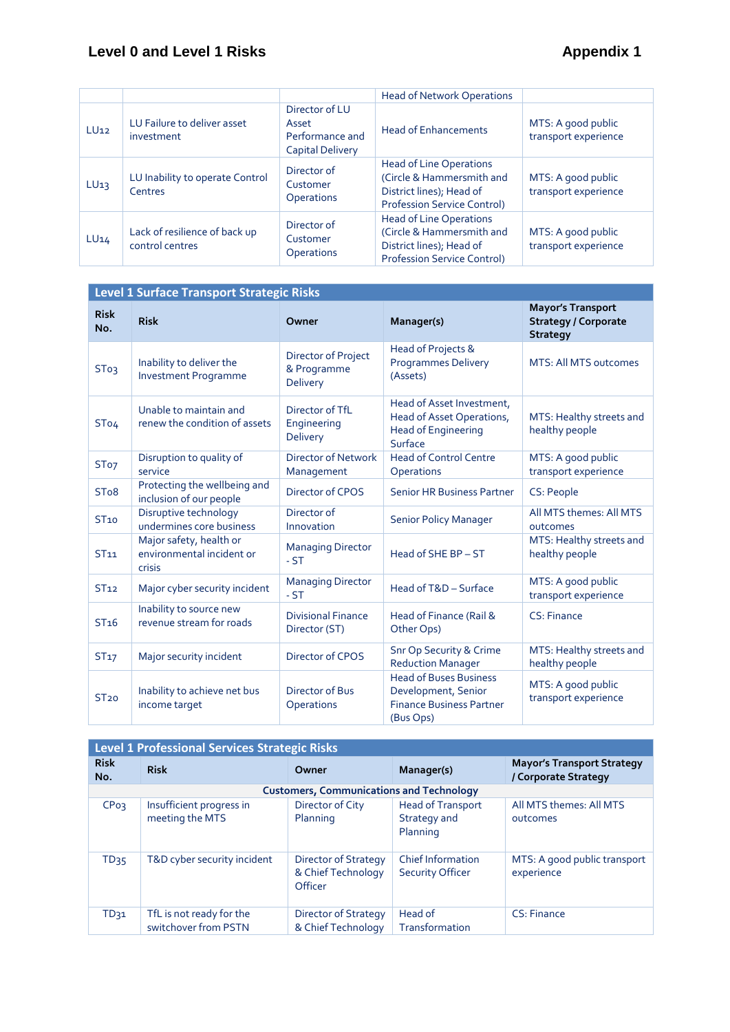# **Level 0 and Level 1 Risks Appendix 1**

|                  |                                                  |                                                                       | <b>Head of Network Operations</b>                                                                                             |                                            |
|------------------|--------------------------------------------------|-----------------------------------------------------------------------|-------------------------------------------------------------------------------------------------------------------------------|--------------------------------------------|
| LU <sub>12</sub> | LU Failure to deliver asset<br>investment        | Director of LU<br>Asset<br>Performance and<br><b>Capital Delivery</b> | <b>Head of Enhancements</b>                                                                                                   | MTS: A good public<br>transport experience |
| LU <sub>13</sub> | LU Inability to operate Control<br>Centres       | Director of<br>Customer<br><b>Operations</b>                          | <b>Head of Line Operations</b><br>(Circle & Hammersmith and<br>District lines); Head of<br><b>Profession Service Control)</b> | MTS: A good public<br>transport experience |
| LU14             | Lack of resilience of back up<br>control centres | Director of<br>Customer<br><b>Operations</b>                          | <b>Head of Line Operations</b><br>(Circle & Hammersmith and<br>District lines); Head of<br><b>Profession Service Control)</b> | MTS: A good public<br>transport experience |

| Level 1 Surface Transport Strategic Risks |                                                                |                                                       |                                                                                                      |                                                                            |  |
|-------------------------------------------|----------------------------------------------------------------|-------------------------------------------------------|------------------------------------------------------------------------------------------------------|----------------------------------------------------------------------------|--|
| <b>Risk</b><br>No.                        | <b>Risk</b>                                                    | Owner                                                 | Manager(s)                                                                                           | <b>Mayor's Transport</b><br><b>Strategy / Corporate</b><br><b>Strategy</b> |  |
| ST <sub>03</sub>                          | Inability to deliver the<br><b>Investment Programme</b>        | Director of Project<br>& Programme<br><b>Delivery</b> | Head of Projects &<br><b>Programmes Delivery</b><br>(Assets)                                         | <b>MTS: All MTS outcomes</b>                                               |  |
| ST <sub>04</sub>                          | Unable to maintain and<br>renew the condition of assets        | Director of TfL<br>Engineering<br><b>Delivery</b>     | Head of Asset Investment,<br>Head of Asset Operations,<br><b>Head of Engineering</b><br>Surface      | MTS: Healthy streets and<br>healthy people                                 |  |
| ST <sub>o7</sub>                          | Disruption to quality of<br>service                            | <b>Director of Network</b><br>Management              | <b>Head of Control Centre</b><br>Operations                                                          | MTS: A good public<br>transport experience                                 |  |
| ST <sub>0</sub> 8                         | Protecting the wellbeing and<br>inclusion of our people        | Director of CPOS                                      | <b>Senior HR Business Partner</b>                                                                    | CS: People                                                                 |  |
| ST <sub>10</sub>                          | Disruptive technology<br>undermines core business              | Director of<br>Innovation                             | <b>Senior Policy Manager</b>                                                                         | All MTS themes: All MTS<br>outcomes                                        |  |
| ST <sub>11</sub>                          | Major safety, health or<br>environmental incident or<br>crisis | <b>Managing Director</b><br>$-ST$                     | Head of SHE BP - ST                                                                                  | MTS: Healthy streets and<br>healthy people                                 |  |
| ST <sub>12</sub>                          | Major cyber security incident                                  | <b>Managing Director</b><br>$-ST$                     | Head of T&D - Surface                                                                                | MTS: A good public<br>transport experience                                 |  |
| ST <sub>16</sub>                          | Inability to source new<br>revenue stream for roads            | <b>Divisional Finance</b><br>Director (ST)            | Head of Finance (Rail &<br>Other Ops)                                                                | CS: Finance                                                                |  |
| ST <sub>17</sub>                          | Major security incident                                        | Director of CPOS                                      | <b>Snr Op Security &amp; Crime</b><br><b>Reduction Manager</b>                                       | MTS: Healthy streets and<br>healthy people                                 |  |
| ST <sub>20</sub>                          | Inability to achieve net bus<br>income target                  | Director of Bus<br>Operations                         | <b>Head of Buses Business</b><br>Development, Senior<br><b>Finance Business Partner</b><br>(Bus Ops) | MTS: A good public<br>transport experience                                 |  |

| <b>Level 1 Professional Services Strategic Risks</b> |                                                  |                                                              |                                                      |                                                           |  |  |
|------------------------------------------------------|--------------------------------------------------|--------------------------------------------------------------|------------------------------------------------------|-----------------------------------------------------------|--|--|
| <b>Risk</b><br>No.                                   | <b>Risk</b>                                      | Owner                                                        | Manager(s)                                           | <b>Mayor's Transport Strategy</b><br>/ Corporate Strategy |  |  |
|                                                      |                                                  | <b>Customers, Communications and Technology</b>              |                                                      |                                                           |  |  |
| <b>CPo<sub>3</sub></b>                               | Insufficient progress in<br>meeting the MTS      | Director of City<br>Planning                                 | <b>Head of Transport</b><br>Strategy and<br>Planning | All MTS themes: All MTS<br>outcomes                       |  |  |
| TD <sub>35</sub>                                     | T&D cyber security incident                      | <b>Director of Strategy</b><br>& Chief Technology<br>Officer | <b>Chief Information</b><br><b>Security Officer</b>  | MTS: A good public transport<br>experience                |  |  |
| TD <sub>31</sub>                                     | TfL is not ready for the<br>switchover from PSTN | <b>Director of Strategy</b><br>& Chief Technology            | Head of<br>Transformation                            | CS: Finance                                               |  |  |